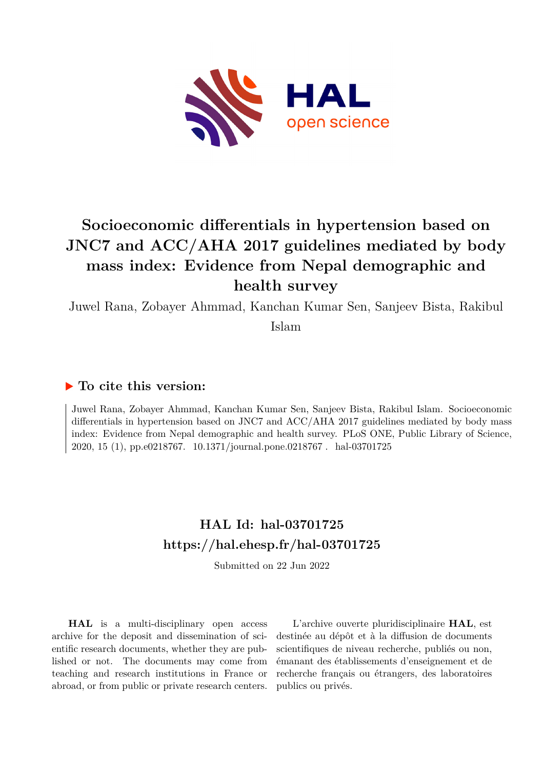

# **Socioeconomic differentials in hypertension based on JNC7 and ACC/AHA 2017 guidelines mediated by body mass index: Evidence from Nepal demographic and health survey**

Juwel Rana, Zobayer Ahmmad, Kanchan Kumar Sen, Sanjeev Bista, Rakibul

Islam

# **To cite this version:**

Juwel Rana, Zobayer Ahmmad, Kanchan Kumar Sen, Sanjeev Bista, Rakibul Islam. Socioeconomic differentials in hypertension based on JNC7 and ACC/AHA 2017 guidelines mediated by body mass index: Evidence from Nepal demographic and health survey. PLoS ONE, Public Library of Science, 2020, 15 (1), pp.e0218767. 10.1371/journal.pone.0218767. hal-03701725

# **HAL Id: hal-03701725 <https://hal.ehesp.fr/hal-03701725>**

Submitted on 22 Jun 2022

**HAL** is a multi-disciplinary open access archive for the deposit and dissemination of scientific research documents, whether they are published or not. The documents may come from teaching and research institutions in France or abroad, or from public or private research centers.

L'archive ouverte pluridisciplinaire **HAL**, est destinée au dépôt et à la diffusion de documents scientifiques de niveau recherche, publiés ou non, émanant des établissements d'enseignement et de recherche français ou étrangers, des laboratoires publics ou privés.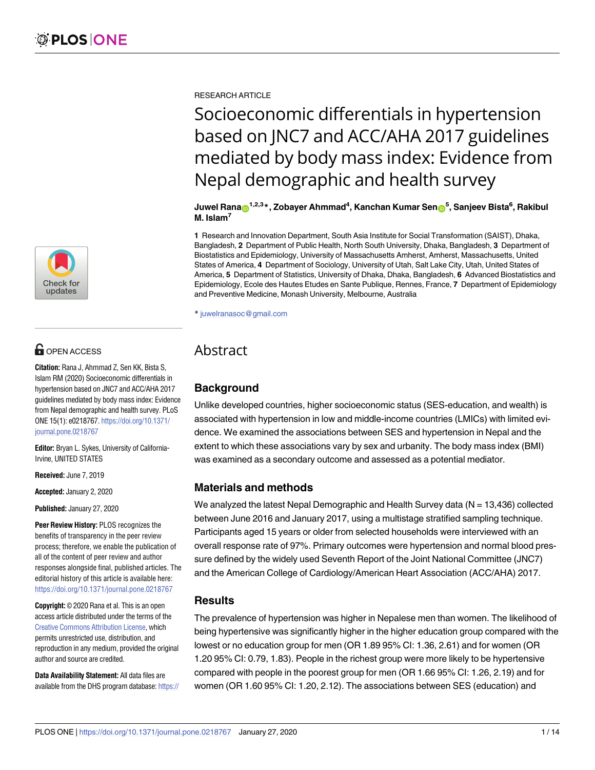

# $\blacksquare$  OPEN ACCESS

**Citation:** Rana J, Ahmmad Z, Sen KK, Bista S, Islam RM (2020) Socioeconomic differentials in hypertension based on JNC7 and ACC/AHA 2017 guidelines mediated by body mass index: Evidence from Nepal demographic and health survey. PLoS ONE 15(1): e0218767. [https://doi.org/10.1371/](https://doi.org/10.1371/journal.pone.0218767) [journal.pone.0218767](https://doi.org/10.1371/journal.pone.0218767)

**Editor:** Bryan L. Sykes, University of California-Irvine, UNITED STATES

**Received:** June 7, 2019

**Accepted:** January 2, 2020

**Published:** January 27, 2020

**Peer Review History:** PLOS recognizes the benefits of transparency in the peer review process; therefore, we enable the publication of all of the content of peer review and author responses alongside final, published articles. The editorial history of this article is available here: <https://doi.org/10.1371/journal.pone.0218767>

**Copyright:** © 2020 Rana et al. This is an open access article distributed under the terms of the Creative Commons [Attribution](http://creativecommons.org/licenses/by/4.0/) License, which permits unrestricted use, distribution, and reproduction in any medium, provided the original author and source are credited.

**Data Availability Statement:** All data files are available from the DHS program database: [https://](https://dhsprogram.com/data/dataset/Nepal_Standard-DHS_2016.cfm?flag=0) RESEARCH ARTICLE

# Socioeconomic differentials in hypertension based on JNC7 and ACC/AHA 2017 guidelines mediated by body mass index: Evidence from Nepal demographic and health survey

 $J$ uwel <code>Rana $_{\textbf{D}}$ 1,2,3 $_{\textbf{*}}$ , Zobayer Ahmmad $^{4}$ , Kanchan Kumar Sen $_{\textbf{D}}$ 5, Sanjeev Bista $^{6}$ , Rakibul</code> **M. Islam7**

**1** Research and Innovation Department, South Asia Institute for Social Transformation (SAIST), Dhaka, Bangladesh, **2** Department of Public Health, North South University, Dhaka, Bangladesh, **3** Department of Biostatistics and Epidemiology, University of Massachusetts Amherst, Amherst, Massachusetts, United States of America, **4** Department of Sociology, University of Utah, Salt Lake City, Utah, United States of America, **5** Department of Statistics, University of Dhaka, Dhaka, Bangladesh, **6** Advanced Biostatistics and Epidemiology, Ecole des Hautes Etudes en Sante Publique, Rennes, France, **7** Department of Epidemiology and Preventive Medicine, Monash University, Melbourne, Australia

\* juwelranasoc@gmail.com

# Abstract

# **Background**

Unlike developed countries, higher socioeconomic status (SES-education, and wealth) is associated with hypertension in low and middle-income countries (LMICs) with limited evidence. We examined the associations between SES and hypertension in Nepal and the extent to which these associations vary by sex and urbanity. The body mass index (BMI) was examined as a secondary outcome and assessed as a potential mediator.

## **Materials and methods**

We analyzed the latest Nepal Demographic and Health Survey data ( $N = 13,436$ ) collected between June 2016 and January 2017, using a multistage stratified sampling technique. Participants aged 15 years or older from selected households were interviewed with an overall response rate of 97%. Primary outcomes were hypertension and normal blood pressure defined by the widely used Seventh Report of the Joint National Committee (JNC7) and the American College of Cardiology/American Heart Association (ACC/AHA) 2017.

# **Results**

The prevalence of hypertension was higher in Nepalese men than women. The likelihood of being hypertensive was significantly higher in the higher education group compared with the lowest or no education group for men (OR 1.89 95% CI: 1.36, 2.61) and for women (OR 1.20 95% CI: 0.79, 1.83). People in the richest group were more likely to be hypertensive compared with people in the poorest group for men (OR 1.66 95% CI: 1.26, 2.19) and for women (OR 1.60 95% CI: 1.20, 2.12). The associations between SES (education) and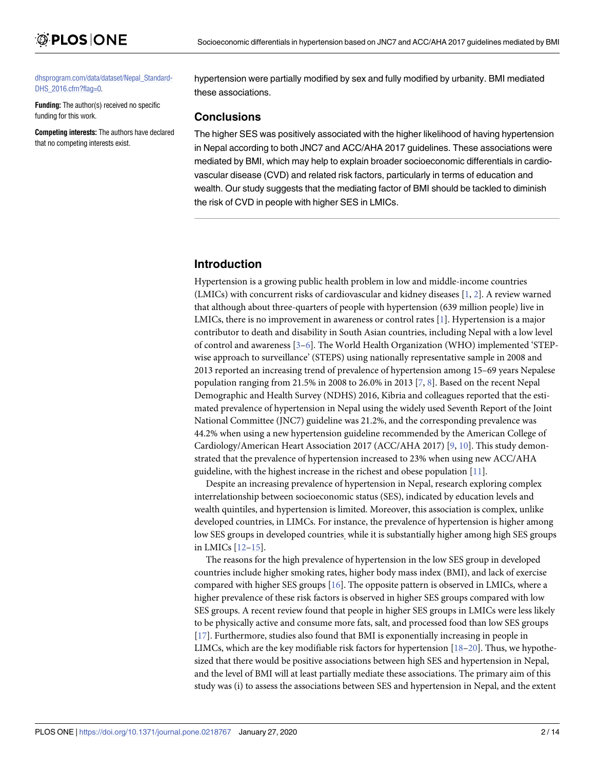#### [dhsprogram.com/data/dataset/Nepal\\_Standard-](https://dhsprogram.com/data/dataset/Nepal_Standard-DHS_2016.cfm?flag=0)[DHS\\_2016.cfm?flag=0.](https://dhsprogram.com/data/dataset/Nepal_Standard-DHS_2016.cfm?flag=0)

**Funding:** The author(s) received no specific funding for this work.

**Competing interests:** The authors have declared that no competing interests exist.

#### hypertension were partially modified by sex and fully modified by urbanity. BMI mediated these associations.

#### **Conclusions**

The higher SES was positively associated with the higher likelihood of having hypertension in Nepal according to both JNC7 and ACC/AHA 2017 guidelines. These associations were mediated by BMI, which may help to explain broader socioeconomic differentials in cardiovascular disease (CVD) and related risk factors, particularly in terms of education and wealth. Our study suggests that the mediating factor of BMI should be tackled to diminish the risk of CVD in people with higher SES in LMICs.

# **Introduction**

Hypertension is a growing public health problem in low and middle-income countries (LMICs) with concurrent risks of cardiovascular and kidney diseases [1, 2]. A review warned that although about three-quarters of people with hypertension (639 million people) live in LMICs, there is no improvement in awareness or control rates [1]. Hypertension is a major contributor to death and disability in South Asian countries, including Nepal with a low level of control and awareness [3–6]. The World Health Organization (WHO) implemented 'STEPwise approach to surveillance' (STEPS) using nationally representative sample in 2008 and 2013 reported an increasing trend of prevalence of hypertension among 15–69 years Nepalese population ranging from 21.5% in 2008 to 26.0% in 2013 [7, 8]. Based on the recent Nepal Demographic and Health Survey (NDHS) 2016, Kibria and colleagues reported that the estimated prevalence of hypertension in Nepal using the widely used Seventh Report of the Joint National Committee (JNC7) guideline was 21.2%, and the corresponding prevalence was 44.2% when using a new hypertension guideline recommended by the American College of Cardiology/American Heart Association 2017 (ACC/AHA 2017) [9, 10]. This study demonstrated that the prevalence of hypertension increased to 23% when using new ACC/AHA guideline, with the highest increase in the richest and obese population [11].

Despite an increasing prevalence of hypertension in Nepal, research exploring complex interrelationship between socioeconomic status (SES), indicated by education levels and wealth quintiles, and hypertension is limited. Moreover, this association is complex, unlike developed countries, in LIMCs. For instance, the prevalence of hypertension is higher among low SES groups in developed countries, while it is substantially higher among high SES groups in LMICs [12–15].

The reasons for the high prevalence of hypertension in the low SES group in developed countries include higher smoking rates, higher body mass index (BMI), and lack of exercise compared with higher SES groups [16]. The opposite pattern is observed in LMICs, where a higher prevalence of these risk factors is observed in higher SES groups compared with low SES groups. A recent review found that people in higher SES groups in LMICs were less likely to be physically active and consume more fats, salt, and processed food than low SES groups [17]. Furthermore, studies also found that BMI is exponentially increasing in people in LIMCs, which are the key modifiable risk factors for hypertension [18–20]. Thus, we hypothesized that there would be positive associations between high SES and hypertension in Nepal, and the level of BMI will at least partially mediate these associations. The primary aim of this study was (i) to assess the associations between SES and hypertension in Nepal, and the extent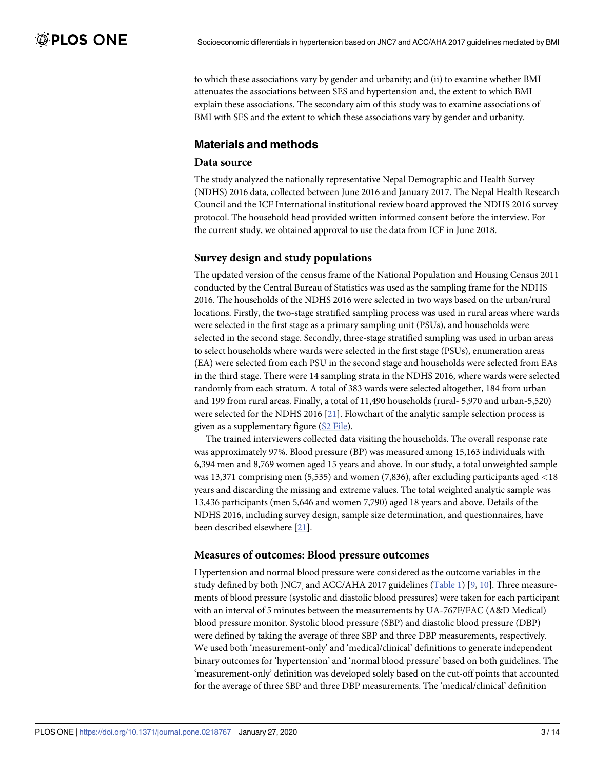to which these associations vary by gender and urbanity; and (ii) to examine whether BMI attenuates the associations between SES and hypertension and, the extent to which BMI explain these associations. The secondary aim of this study was to examine associations of BMI with SES and the extent to which these associations vary by gender and urbanity.

# **Materials and methods**

#### **Data source**

The study analyzed the nationally representative Nepal Demographic and Health Survey (NDHS) 2016 data, collected between June 2016 and January 2017. The Nepal Health Research Council and the ICF International institutional review board approved the NDHS 2016 survey protocol. The household head provided written informed consent before the interview. For the current study, we obtained approval to use the data from ICF in June 2018.

### **Survey design and study populations**

The updated version of the census frame of the National Population and Housing Census 2011 conducted by the Central Bureau of Statistics was used as the sampling frame for the NDHS 2016. The households of the NDHS 2016 were selected in two ways based on the urban/rural locations. Firstly, the two-stage stratified sampling process was used in rural areas where wards were selected in the first stage as a primary sampling unit (PSUs), and households were selected in the second stage. Secondly, three-stage stratified sampling was used in urban areas to select households where wards were selected in the first stage (PSUs), enumeration areas (EA) were selected from each PSU in the second stage and households were selected from EAs in the third stage. There were 14 sampling strata in the NDHS 2016, where wards were selected randomly from each stratum. A total of 383 wards were selected altogether, 184 from urban and 199 from rural areas. Finally, a total of 11,490 households (rural- 5,970 and urban-5,520) were selected for the NDHS 2016 [21]. Flowchart of the analytic sample selection process is given as a supplementary figure (S2 File).

The trained interviewers collected data visiting the households. The overall response rate was approximately 97%. Blood pressure (BP) was measured among 15,163 individuals with 6,394 men and 8,769 women aged 15 years and above. In our study, a total unweighted sample was 13,371 comprising men (5,535) and women (7,836), after excluding participants aged *<*18 years and discarding the missing and extreme values. The total weighted analytic sample was 13,436 participants (men 5,646 and women 7,790) aged 18 years and above. Details of the NDHS 2016, including survey design, sample size determination, and questionnaires, have been described elsewhere [21].

#### **Measures of outcomes: Blood pressure outcomes**

Hypertension and normal blood pressure were considered as the outcome variables in the study defined by both JNC7, and ACC/AHA 2017 guidelines (Table 1) [9, 10]. Three measurements of blood pressure (systolic and diastolic blood pressures) were taken for each participant with an interval of 5 minutes between the measurements by UA-767F/FAC (A&D Medical) blood pressure monitor. Systolic blood pressure (SBP) and diastolic blood pressure (DBP) were defined by taking the average of three SBP and three DBP measurements, respectively. We used both 'measurement-only' and 'medical/clinical' definitions to generate independent binary outcomes for 'hypertension' and 'normal blood pressure' based on both guidelines. The 'measurement-only' definition was developed solely based on the cut-off points that accounted for the average of three SBP and three DBP measurements. The 'medical/clinical' definition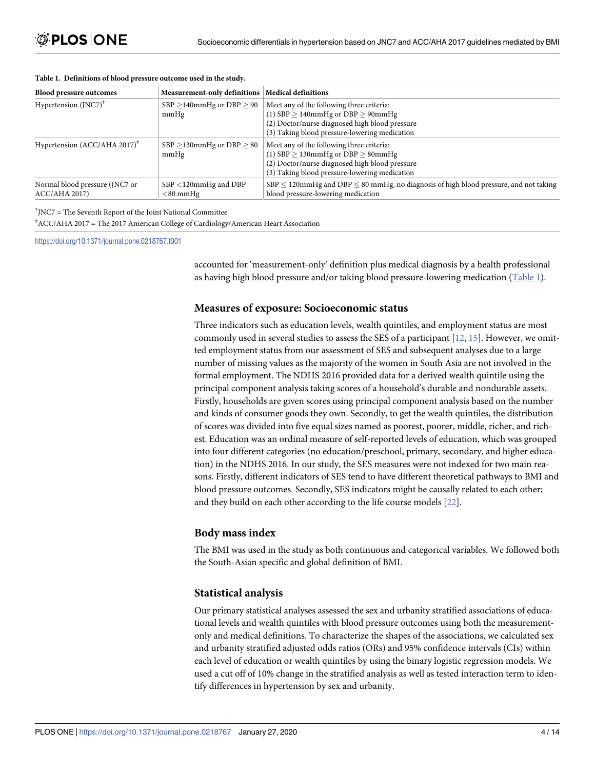| <b>Blood pressure outcomes</b>                        | <b>Measurement-only definitions</b>      | <b>Medical definitions</b>                                                                                                                                                              |
|-------------------------------------------------------|------------------------------------------|-----------------------------------------------------------------------------------------------------------------------------------------------------------------------------------------|
| Hypertension $(JNC7)^{T}$                             | $SBP > 140$ mmHg or $DBP > 90$<br>mmHg   | Meet any of the following three criteria:<br>(1) $SBP > 140$ mmHg or $DBP > 90$ mmHg<br>(2) Doctor/nurse diagnosed high blood pressure<br>(3) Taking blood pressure-lowering medication |
| Hypertension (ACC/AHA 2017) <sup><math>*</math></sup> | $SBP \ge 130$ mmHg or DBP $> 80$<br>mmHg | Meet any of the following three criteria:<br>(1) $SBP > 130$ mmHg or $DBP > 80$ mmHg<br>(2) Doctor/nurse diagnosed high blood pressure<br>(3) Taking blood pressure-lowering medication |
| Normal blood pressure (JNC7 or<br>ACC/AHA 2017        | $SBP < 120$ mmHg and DBP<br>$<$ 80 mmHg  | $SBP \leq 120$ mmHg and DBP $\leq 80$ mmHg, no diagnosis of high blood pressure, and not taking<br>blood pressure-lowering medication                                                   |

#### **Table 1. Definitions of blood pressure outcome used in the study.**

† JNC7 = The Seventh Report of the Joint National Committee

‡ ACC/AHA 2017 = The 2017 American College of Cardiology/American Heart Association

<https://doi.org/10.1371/journal.pone.0218767.t001>

accounted for 'measurement-only' definition plus medical diagnosis by a health professional as having high blood pressure and/or taking blood pressure-lowering medication (Table 1).

#### **Measures of exposure: Socioeconomic status**

Three indicators such as education levels, wealth quintiles, and employment status are most commonly used in several studies to assess the SES of a participant [12, 15]. However, we omitted employment status from our assessment of SES and subsequent analyses due to a large number of missing values as the majority of the women in South Asia are not involved in the formal employment. The NDHS 2016 provided data for a derived wealth quintile using the principal component analysis taking scores of a household's durable and nondurable assets. Firstly, households are given scores using principal component analysis based on the number and kinds of consumer goods they own. Secondly, to get the wealth quintiles, the distribution of scores was divided into five equal sizes named as poorest, poorer, middle, richer, and richest. Education was an ordinal measure of self-reported levels of education, which was grouped into four different categories (no education/preschool, primary, secondary, and higher education) in the NDHS 2016. In our study, the SES measures were not indexed for two main reasons. Firstly, different indicators of SES tend to have different theoretical pathways to BMI and blood pressure outcomes. Secondly, SES indicators might be causally related to each other; and they build on each other according to the life course models [22].

#### **Body mass index**

The BMI was used in the study as both continuous and categorical variables. We followed both the South-Asian specific and global definition of BMI.

#### **Statistical analysis**

Our primary statistical analyses assessed the sex and urbanity stratified associations of educational levels and wealth quintiles with blood pressure outcomes using both the measurementonly and medical definitions. To characterize the shapes of the associations, we calculated sex and urbanity stratified adjusted odds ratios (ORs) and 95% confidence intervals (CIs) within each level of education or wealth quintiles by using the binary logistic regression models. We used a cut off of 10% change in the stratified analysis as well as tested interaction term to identify differences in hypertension by sex and urbanity.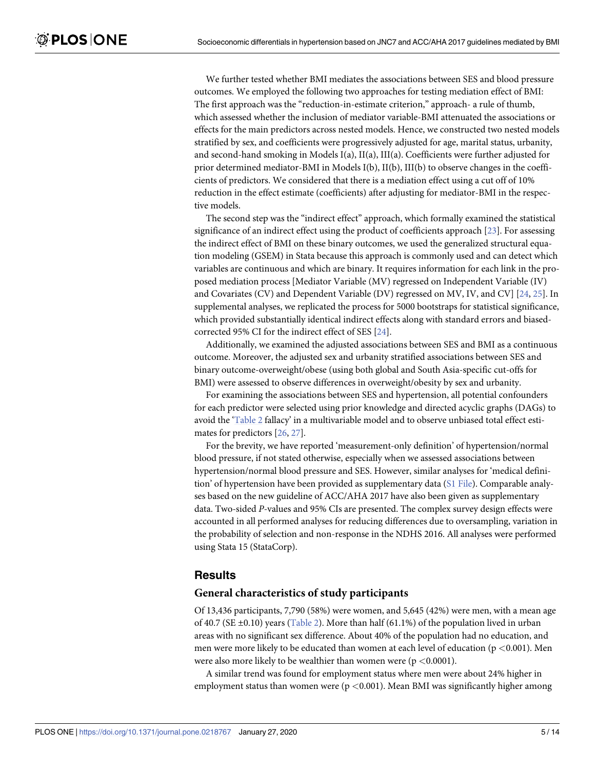We further tested whether BMI mediates the associations between SES and blood pressure outcomes. We employed the following two approaches for testing mediation effect of BMI: The first approach was the "reduction-in-estimate criterion," approach- a rule of thumb, which assessed whether the inclusion of mediator variable-BMI attenuated the associations or effects for the main predictors across nested models. Hence, we constructed two nested models stratified by sex, and coefficients were progressively adjusted for age, marital status, urbanity, and second-hand smoking in Models I(a), II(a), III(a). Coefficients were further adjusted for prior determined mediator-BMI in Models I(b), II(b), III(b) to observe changes in the coefficients of predictors. We considered that there is a mediation effect using a cut off of 10% reduction in the effect estimate (coefficients) after adjusting for mediator-BMI in the respective models.

The second step was the "indirect effect" approach, which formally examined the statistical significance of an indirect effect using the product of coefficients approach [23]. For assessing the indirect effect of BMI on these binary outcomes, we used the generalized structural equation modeling (GSEM) in Stata because this approach is commonly used and can detect which variables are continuous and which are binary. It requires information for each link in the proposed mediation process [Mediator Variable (MV) regressed on Independent Variable (IV) and Covariates (CV) and Dependent Variable (DV) regressed on MV, IV, and CV] [24, 25]. In supplemental analyses, we replicated the process for 5000 bootstraps for statistical significance, which provided substantially identical indirect effects along with standard errors and biasedcorrected 95% CI for the indirect effect of SES [24].

Additionally, we examined the adjusted associations between SES and BMI as a continuous outcome. Moreover, the adjusted sex and urbanity stratified associations between SES and binary outcome-overweight/obese (using both global and South Asia-specific cut-offs for BMI) were assessed to observe differences in overweight/obesity by sex and urbanity.

For examining the associations between SES and hypertension, all potential confounders for each predictor were selected using prior knowledge and directed acyclic graphs (DAGs) to avoid the 'Table 2 fallacy' in a multivariable model and to observe unbiased total effect estimates for predictors [26, 27].

For the brevity, we have reported 'measurement-only definition' of hypertension/normal blood pressure, if not stated otherwise, especially when we assessed associations between hypertension/normal blood pressure and SES. However, similar analyses for 'medical definition' of hypertension have been provided as supplementary data (S1 File). Comparable analyses based on the new guideline of ACC/AHA 2017 have also been given as supplementary data. Two-sided *P*-values and 95% CIs are presented. The complex survey design effects were accounted in all performed analyses for reducing differences due to oversampling, variation in the probability of selection and non-response in the NDHS 2016. All analyses were performed using Stata 15 (StataCorp).

#### **Results**

#### **General characteristics of study participants**

Of 13,436 participants, 7,790 (58%) were women, and 5,645 (42%) were men, with a mean age of 40.7 (SE  $\pm$ 0.10) years (Table 2). More than half (61.1%) of the population lived in urban areas with no significant sex difference. About 40% of the population had no education, and men were more likely to be educated than women at each level of education (p *<*0.001). Men were also more likely to be wealthier than women were (p *<*0.0001).

A similar trend was found for employment status where men were about 24% higher in employment status than women were ( $p < 0.001$ ). Mean BMI was significantly higher among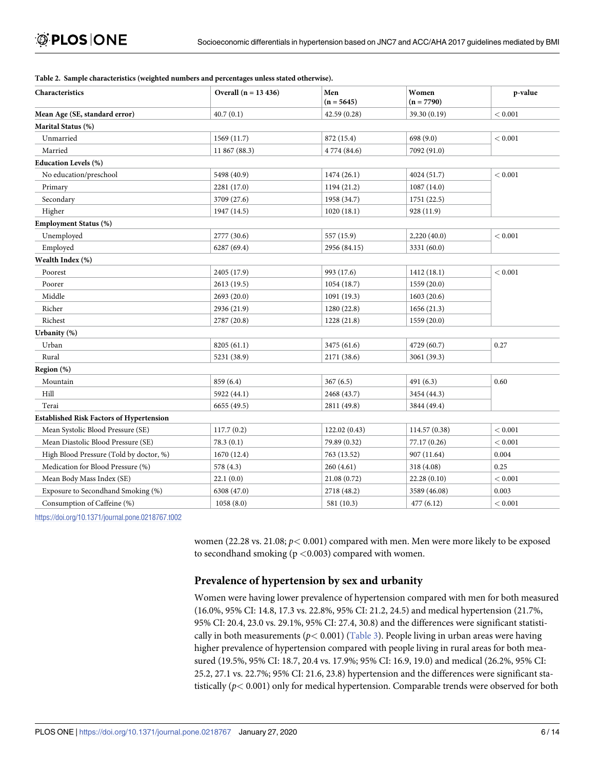| Characteristics                                 | Overall $(n = 13 436)$ | Men<br>$(n = 5645)$ | Women<br>$(n = 7790)$ | p-value |  |
|-------------------------------------------------|------------------------|---------------------|-----------------------|---------|--|
| Mean Age (SE, standard error)                   | 40.7(0.1)              | 42.59 (0.28)        | 39.30 (0.19)          | < 0.001 |  |
| Marital Status (%)                              |                        |                     |                       |         |  |
| Unmarried                                       | 1569 (11.7)            | 872 (15.4)          | 698 (9.0)             | < 0.001 |  |
| Married                                         | 11 867 (88.3)          | 4 774 (84.6)        | 7092 (91.0)           |         |  |
| <b>Education Levels (%)</b>                     |                        |                     |                       |         |  |
| No education/preschool                          | 5498 (40.9)            | 1474 (26.1)         | 4024 (51.7)           | < 0.001 |  |
| Primary                                         | 2281 (17.0)            | 1194 (21.2)         | 1087 (14.0)           |         |  |
| Secondary                                       | 3709 (27.6)            | 1958 (34.7)         | 1751 (22.5)           |         |  |
| Higher                                          | 1947 (14.5)            | 1020(18.1)          | 928 (11.9)            |         |  |
| <b>Employment Status (%)</b>                    |                        |                     |                       |         |  |
| Unemployed                                      | 2777 (30.6)            | 557 (15.9)          | 2,220(40.0)           | < 0.001 |  |
| Employed                                        | 6287 (69.4)            | 2956 (84.15)        | 3331 (60.0)           |         |  |
| Wealth Index (%)                                |                        |                     |                       |         |  |
| Poorest                                         | 2405 (17.9)            | 993 (17.6)          | 1412 (18.1)           | < 0.001 |  |
| Poorer                                          | 2613(19.5)             | 1054(18.7)          | 1559 (20.0)           |         |  |
| Middle                                          | 2693 (20.0)            | 1091 (19.3)         | 1603(20.6)            |         |  |
| Richer                                          | 2936 (21.9)            | 1280 (22.8)         | 1656(21.3)            |         |  |
| Richest                                         | 2787 (20.8)            | 1228 (21.8)         | 1559 (20.0)           |         |  |
| Urbanity (%)                                    |                        |                     |                       |         |  |
| Urban                                           | 8205(61.1)             | 3475 (61.6)         | 4729 (60.7)           | 0.27    |  |
| Rural                                           | 5231 (38.9)            | 2171 (38.6)         | 3061 (39.3)           |         |  |
| Region (%)                                      |                        |                     |                       |         |  |
| Mountain                                        | 859 (6.4)              | 367(6.5)            | 491 (6.3)             | 0.60    |  |
| Hill                                            | 5922 (44.1)            | 2468 (43.7)         | 3454 (44.3)           |         |  |
| Terai                                           | 6655 (49.5)            | 2811 (49.8)         | 3844 (49.4)           |         |  |
| <b>Established Risk Factors of Hypertension</b> |                        |                     |                       |         |  |
| Mean Systolic Blood Pressure (SE)               | 117.7(0.2)             | 122.02(0.43)        | 114.57 (0.38)         | < 0.001 |  |
| Mean Diastolic Blood Pressure (SE)              | 78.3(0.1)              | 79.89 (0.32)        | 77.17 (0.26)          | < 0.001 |  |
| High Blood Pressure (Told by doctor, %)         | 1670(12.4)             | 763 (13.52)         | 907 (11.64)           | 0.004   |  |
| Medication for Blood Pressure (%)               | 578 (4.3)              | 260(4.61)           | 318 (4.08)            | 0.25    |  |
| Mean Body Mass Index (SE)                       | 22.1(0.0)              | 21.08 (0.72)        | 22.28(0.10)           | < 0.001 |  |
| Exposure to Secondhand Smoking (%)              | 6308 (47.0)            | 2718 (48.2)         | 3589 (46.08)          | 0.003   |  |
| Consumption of Caffeine (%)                     | 1058(8.0)              | 581 (10.3)          | 477 (6.12)            | < 0.001 |  |

#### **Table 2. Sample characteristics (weighted numbers and percentages unless stated otherwise).**

<https://doi.org/10.1371/journal.pone.0218767.t002>

women (22.28 vs. 21.08; *p<* 0.001) compared with men. Men were more likely to be exposed to secondhand smoking (p *<*0.003) compared with women.

## **Prevalence of hypertension by sex and urbanity**

Women were having lower prevalence of hypertension compared with men for both measured (16.0%, 95% CI: 14.8, 17.3 vs. 22.8%, 95% CI: 21.2, 24.5) and medical hypertension (21.7%, 95% CI: 20.4, 23.0 vs. 29.1%, 95% CI: 27.4, 30.8) and the differences were significant statistically in both measurements ( $p$ < 0.001) (Table 3). People living in urban areas were having higher prevalence of hypertension compared with people living in rural areas for both measured (19.5%, 95% CI: 18.7, 20.4 vs. 17.9%; 95% CI: 16.9, 19.0) and medical (26.2%, 95% CI: 25.2, 27.1 vs. 22.7%; 95% CI: 21.6, 23.8) hypertension and the differences were significant statistically (*p<* 0.001) only for medical hypertension. Comparable trends were observed for both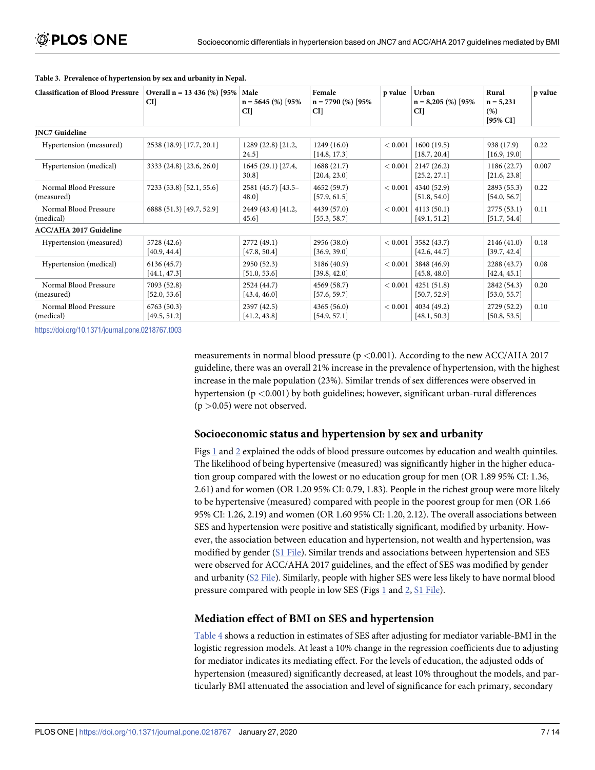| <b>Classification of Blood Pressure</b> | Overall n = 13 436 (%) [95%<br>CI] | Male<br>$n = 5645$ (%) [95%<br>CI] | Female<br>$n = 7790$ (%) [95%<br>CI] | p value | Urban<br>$n = 8,205$ (%) [95%<br>CI] | Rural<br>$n = 5,231$<br>(% )<br>$[95\%$ CI | p value |
|-----------------------------------------|------------------------------------|------------------------------------|--------------------------------------|---------|--------------------------------------|--------------------------------------------|---------|
| <b>INC7 Guideline</b>                   |                                    |                                    |                                      |         |                                      |                                            |         |
| Hypertension (measured)                 | 2538 (18.9) [17.7, 20.1]           | 1289 (22.8) [21.2,<br>24.5         | 1249(16.0)<br>[14.8, 17.3]           | < 0.001 | 1600 (19.5)<br>[18.7, 20.4]          | 938 (17.9)<br>[16.9, 19.0]                 | 0.22    |
| Hypertension (medical)                  | 3333 (24.8) [23.6, 26.0]           | $1645(29.1)$ [27.4,<br>30.8        | 1688(21.7)<br>[20.4, 23.0]           | < 0.001 | 2147(26.2)<br>[25.2, 27.1]           | 1186(22.7)<br>[21.6, 23.8]                 | 0.007   |
| Normal Blood Pressure<br>(measured)     | 7233 (53.8) [52.1, 55.6]           | 2581 (45.7) [43.5-<br>48.0         | 4652 (59.7)<br>[57.9, 61.5]          | < 0.001 | 4340 (52.9)<br>[51.8, 54.0]          | 2893 (55.3)<br>[54.0, 56.7]                | 0.22    |
| Normal Blood Pressure<br>(medical)      | 6888 (51.3) [49.7, 52.9]           | 2449 (43.4) [41.2,<br>45.6         | 4439 (57.0)<br>[55.3, 58.7]          | < 0.001 | 4113(50.1)<br>[49.1, 51.2]           | 2775(53.1)<br>[51.7, 54.4]                 | 0.11    |
| <b>ACC/AHA 2017 Guideline</b>           |                                    |                                    |                                      |         |                                      |                                            |         |
| Hypertension (measured)                 | 5728 (42.6)<br>[40.9, 44.4]        | 2772 (49.1)<br>[47.8, 50.4]        | 2956 (38.0)<br>[36.9, 39.0]          | < 0.001 | 3582 (43.7)<br>[42.6, 44.7]          | 2146(41.0)<br>[39.7, 42.4]                 | 0.18    |
| Hypertension (medical)                  | 6136 (45.7)<br>[44.1, 47.3]        | 2950 (52.3)<br>[51.0, 53.6]        | 3186 (40.9)<br>[39.8, 42.0]          | < 0.001 | 3848 (46.9)<br>[45.8, 48.0]          | 2288 (43.7)<br>[42.4, 45.1]                | 0.08    |
| Normal Blood Pressure<br>(measured)     | 7093 (52.8)<br>[52.0, 53.6]        | 2524 (44.7)<br>[43.4, 46.0]        | 4569 (58.7)<br>[57.6, 59.7]          | < 0.001 | 4251(51.8)<br>[50.7, 52.9]           | 2842 (54.3)<br>[53.0, 55.7]                | 0.20    |
| Normal Blood Pressure<br>(medical)      | 6763(50.3)<br>[49.5, 51.2]         | 2397 (42.5)<br>[41.2, 43.8]        | 4365(56.0)<br>[54.9, 57.1]           | < 0.001 | 4034 (49.2)<br>[48.1, 50.3]          | 2729 (52.2)<br>[50.8, 53.5]                | 0.10    |

#### **Table 3. Prevalence of hypertension by sex and urbanity in Nepal.**

<https://doi.org/10.1371/journal.pone.0218767.t003>

measurements in normal blood pressure (p *<*0.001). According to the new ACC/AHA 2017 guideline, there was an overall 21% increase in the prevalence of hypertension, with the highest increase in the male population (23%). Similar trends of sex differences were observed in hypertension (p *<*0.001) by both guidelines; however, significant urban-rural differences (p *>*0.05) were not observed.

#### **Socioeconomic status and hypertension by sex and urbanity**

Figs 1 and 2 explained the odds of blood pressure outcomes by education and wealth quintiles. The likelihood of being hypertensive (measured) was significantly higher in the higher education group compared with the lowest or no education group for men (OR 1.89 95% CI: 1.36, 2.61) and for women (OR 1.20 95% CI: 0.79, 1.83). People in the richest group were more likely to be hypertensive (measured) compared with people in the poorest group for men (OR 1.66 95% CI: 1.26, 2.19) and women (OR 1.60 95% CI: 1.20, 2.12). The overall associations between SES and hypertension were positive and statistically significant, modified by urbanity. However, the association between education and hypertension, not wealth and hypertension, was modified by gender (S1 File). Similar trends and associations between hypertension and SES were observed for ACC/AHA 2017 guidelines, and the effect of SES was modified by gender and urbanity (S2 File). Similarly, people with higher SES were less likely to have normal blood pressure compared with people in low SES (Figs 1 and 2, S1 File).

#### **Mediation effect of BMI on SES and hypertension**

Table 4 shows a reduction in estimates of SES after adjusting for mediator variable-BMI in the logistic regression models. At least a 10% change in the regression coefficients due to adjusting for mediator indicates its mediating effect. For the levels of education, the adjusted odds of hypertension (measured) significantly decreased, at least 10% throughout the models, and particularly BMI attenuated the association and level of significance for each primary, secondary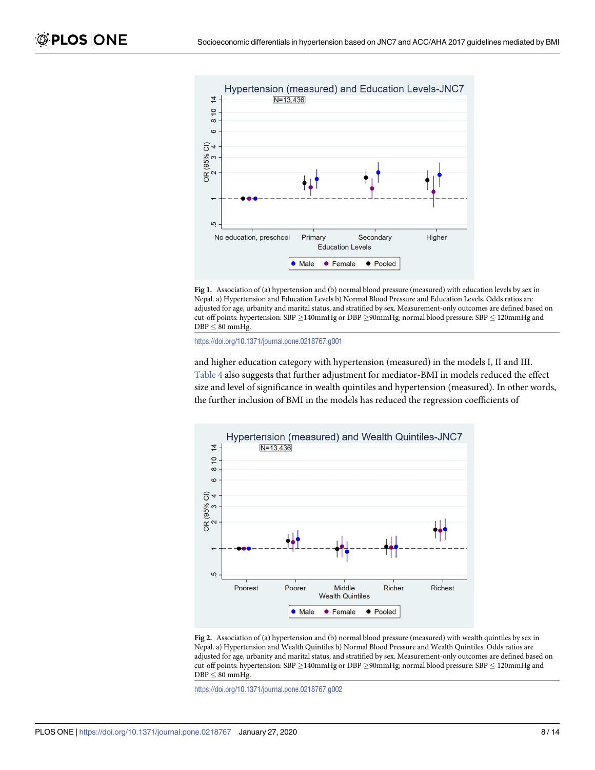

**Fig 1.** Association of (a) hypertension and (b) normal blood pressure (measured) with education levels by sex in Nepal. a) Hypertension and Education Levels b) Normal Blood Pressure and Education Levels. Odds ratios are adjusted for age, urbanity and marital status, and stratified by sex. Measurement-only outcomes are defined based on cut-off points: hypertension: SBP  $\geq$  140mmHg or DBP  $\geq$ 90mmHg; normal blood pressure: SBP  $\leq$  120mmHg and  $\text{DBP} \leq 80$  mmHg.

<https://doi.org/10.1371/journal.pone.0218767.g001>

and higher education category with hypertension (measured) in the models I, II and III. Table 4 also suggests that further adjustment for mediator-BMI in models reduced the effect size and level of significance in wealth quintiles and hypertension (measured). In other words, the further inclusion of BMI in the models has reduced the regression coefficients of



**Fig 2.** Association of (a) hypertension and (b) normal blood pressure (measured) with wealth quintiles by sex in Nepal. a) Hypertension and Wealth Quintiles b) Normal Blood Pressure and Wealth Quintiles. Odds ratios are adjusted for age, urbanity and marital status, and stratified by sex. Measurement-only outcomes are defined based on cut-off points: hypertension: SBP  $\geq$  140mmHg or DBP  $\geq$ 90mmHg; normal blood pressure: SBP  $\leq$  120mmHg and  $DBP \leq 80$  mmHg.

<https://doi.org/10.1371/journal.pone.0218767.g002>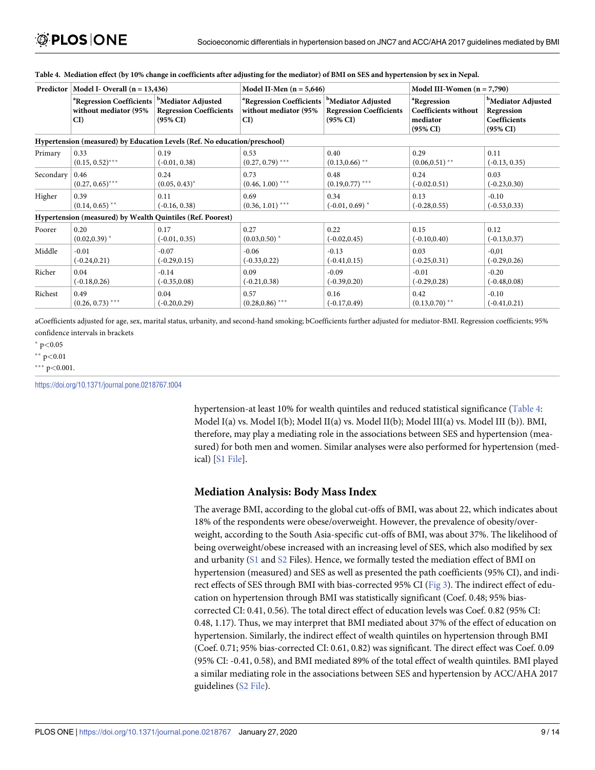| Predictor | Model I- Overall $(n = 13,436)$                                                                     |                                                       | Model II-Men $(n = 5,646)$                                           |                                                                                         | Model III-Women $(n = 7,790)$                                                      |                                                                                     |  |  |
|-----------|-----------------------------------------------------------------------------------------------------|-------------------------------------------------------|----------------------------------------------------------------------|-----------------------------------------------------------------------------------------|------------------------------------------------------------------------------------|-------------------------------------------------------------------------------------|--|--|
|           | <sup>a</sup> Regression Coefficients <sup>b</sup> Mediator Adjusted<br>without mediator (95%<br>CI) | <b>Regression Coefficients</b><br>$(95\% \text{ CI})$ | <sup>a</sup> Regression Coefficients<br>without mediator (95%)<br>CI | <sup>b</sup> Mediator Adjusted<br><b>Regression Coefficients</b><br>$(95\% \text{ CI})$ | <sup>a</sup> Regression<br>Coefficients without<br>mediator<br>$(95\% \text{ CI})$ | <sup>b</sup> Mediator Adjusted<br>Regression<br>Coefficients<br>$(95\% \text{ CI})$ |  |  |
|           | Hypertension (measured) by Education Levels (Ref. No education/preschool)                           |                                                       |                                                                      |                                                                                         |                                                                                    |                                                                                     |  |  |
| Primary   | 0.33                                                                                                | 0.19                                                  | 0.53                                                                 | 0.40                                                                                    | 0.29                                                                               | 0.11                                                                                |  |  |
|           | $(0.15, 0.52)$ ***                                                                                  | $(-0.01, 0.38)$                                       | $(0.27, 0.79)$ ***                                                   | $(0.13, 0.66)$ **                                                                       | $(0.06, 0.51)$ **                                                                  | $(-0.13, 0.35)$                                                                     |  |  |
| Secondary | 0.46                                                                                                | 0.24                                                  | 0.73                                                                 | 0.48                                                                                    | 0.24                                                                               | 0.03                                                                                |  |  |
|           | $(0.27, 0.65)$ ***                                                                                  | $(0.05, 0.43)^*$                                      | $(0.46, 1.00)$ ***                                                   | $(0.19, 0.77)$ ***                                                                      | $(-0.02.0.51)$                                                                     | $(-0.23, 0.30)$                                                                     |  |  |
| Higher    | 0.39                                                                                                | 0.11                                                  | 0.69                                                                 | 0.34                                                                                    | 0.13                                                                               | $-0.10$                                                                             |  |  |
|           | $(0.14, 0.65)$ <sup>**</sup>                                                                        | $(-0.16, 0.38)$                                       | $(0.36, 1.01)$ ***                                                   | $(-0.01, 0.69)$ *                                                                       | $(-0.28, 0.55)$                                                                    | $(-0.53, 0.33)$                                                                     |  |  |
|           | Hypertension (measured) by Wealth Quintiles (Ref. Poorest)                                          |                                                       |                                                                      |                                                                                         |                                                                                    |                                                                                     |  |  |
| Poorer    | 0.20                                                                                                | 0.17                                                  | 0.27                                                                 | 0.22                                                                                    | 0.15                                                                               | 0.12                                                                                |  |  |
|           | $(0.02, 0.39)^*$                                                                                    | $(-0.01, 0.35)$                                       | $(0.03, 0.50)^*$                                                     | $(-0.02, 0.45)$                                                                         | $(-0.10, 0.40)$                                                                    | $(-0.13, 0.37)$                                                                     |  |  |
| Middle    | $-0.01$                                                                                             | $-0.07$                                               | $-0.06$                                                              | $-0.13$                                                                                 | 0.03                                                                               | $-0.01$                                                                             |  |  |
|           | $(-0.24, 0.21)$                                                                                     | $(-0.29, 0.15)$                                       | $(-0.33, 0.22)$                                                      | $(-0.41, 0.15)$                                                                         | $(-0.25, 0.31)$                                                                    | $(-0.29, 0.26)$                                                                     |  |  |
| Richer    | 0.04                                                                                                | $-0.14$                                               | 0.09                                                                 | $-0.09$                                                                                 | $-0.01$                                                                            | $-0.20$                                                                             |  |  |
|           | $(-0.18, 0.26)$                                                                                     | $(-0.35, 0.08)$                                       | $(-0.21, 0.38)$                                                      | $(-0.39, 0.20)$                                                                         | $(-0.29, 0.28)$                                                                    | $(-0.48, 0.08)$                                                                     |  |  |
| Richest   | 0.49                                                                                                | 0.04                                                  | 0.57                                                                 | 0.16                                                                                    | 0.42                                                                               | $-0.10$                                                                             |  |  |
|           | $(0.26, 0.73)$ ***                                                                                  | $(-0.20, 0.29)$                                       | $(0.28, 0.86)$ ***                                                   | $(-0.17, 0.49)$                                                                         | $(0.13, 0.70)$ **                                                                  | $(-0.41, 0.21)$                                                                     |  |  |

#### Table 4. Mediation effect (by 10% change in coefficients after adjusting for the mediator) of BMI on SES and hypertension by sex in Nepal.

aCoefficients adjusted for age, sex, marital status, urbanity, and second-hand smoking; bCoefficients further adjusted for mediator-BMI. Regression coefficients; 95% confidence intervals in brackets

� p*<*0.05

��� p*<*0.001.

<https://doi.org/10.1371/journal.pone.0218767.t004>

hypertension-at least 10% for wealth quintiles and reduced statistical significance (Table 4: Model I(a) vs. Model I(b); Model II(a) vs. Model II(b); Model III(a) vs. Model III (b)). BMI, therefore, may play a mediating role in the associations between SES and hypertension (measured) for both men and women. Similar analyses were also performed for hypertension (medical) [S1 File].

#### **Mediation Analysis: Body Mass Index**

The average BMI, according to the global cut-offs of BMI, was about 22, which indicates about 18% of the respondents were obese/overweight. However, the prevalence of obesity/overweight, according to the South Asia-specific cut-offs of BMI, was about 37%. The likelihood of being overweight/obese increased with an increasing level of SES, which also modified by sex and urbanity (S1 and S2 Files). Hence, we formally tested the mediation effect of BMI on hypertension (measured) and SES as well as presented the path coefficients (95% CI), and indirect effects of SES through BMI with bias-corrected 95% CI (Fig 3). The indirect effect of education on hypertension through BMI was statistically significant (Coef. 0.48; 95% biascorrected CI: 0.41, 0.56). The total direct effect of education levels was Coef. 0.82 (95% CI: 0.48, 1.17). Thus, we may interpret that BMI mediated about 37% of the effect of education on hypertension. Similarly, the indirect effect of wealth quintiles on hypertension through BMI (Coef. 0.71; 95% bias-corrected CI: 0.61, 0.82) was significant. The direct effect was Coef. 0.09 (95% CI: -0.41, 0.58), and BMI mediated 89% of the total effect of wealth quintiles. BMI played a similar mediating role in the associations between SES and hypertension by ACC/AHA 2017 guidelines (S2 File).

<sup>��</sup> p*<*0.01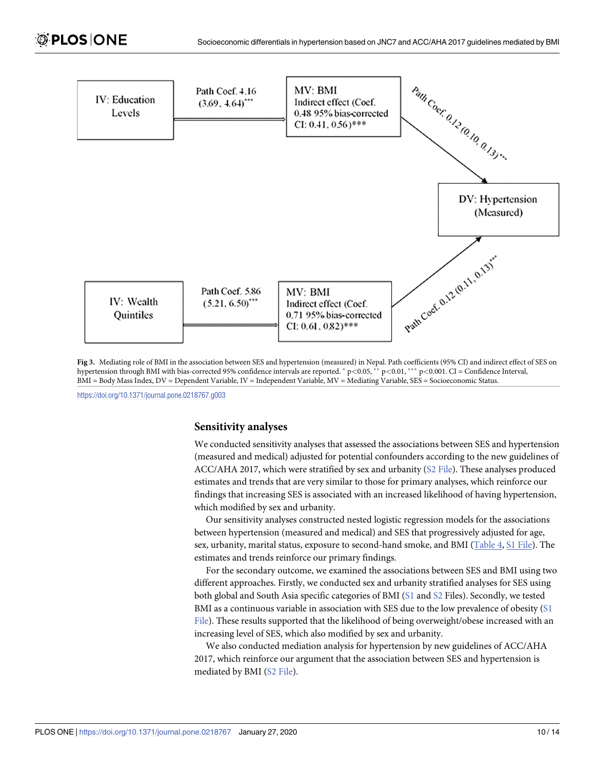

**Fig 3.** Mediating role of BMI in the association between SES and hypertension (measured) in Nepal. Path coefficients (95% CI) and indirect effect of SES on hypertension through BMI with bias-corrected 95% confidence intervals are reported. � p*<*0.05, �� p*<*0.01, ��� p*<*0.001. CI = Confidence Interval, BMI = Body Mass Index, DV = Dependent Variable, IV = Independent Variable, MV = Mediating Variable, SES = Socioeconomic Status.

<https://doi.org/10.1371/journal.pone.0218767.g003>

#### **Sensitivity analyses**

We conducted sensitivity analyses that assessed the associations between SES and hypertension (measured and medical) adjusted for potential confounders according to the new guidelines of ACC/AHA 2017, which were stratified by sex and urbanity (S2 File). These analyses produced estimates and trends that are very similar to those for primary analyses, which reinforce our findings that increasing SES is associated with an increased likelihood of having hypertension, which modified by sex and urbanity.

Our sensitivity analyses constructed nested logistic regression models for the associations between hypertension (measured and medical) and SES that progressively adjusted for age, sex, urbanity, marital status, exposure to second-hand smoke, and BMI (Table 4, S1 File). The estimates and trends reinforce our primary findings.

For the secondary outcome, we examined the associations between SES and BMI using two different approaches. Firstly, we conducted sex and urbanity stratified analyses for SES using both global and South Asia specific categories of BMI (S1 and S2 Files). Secondly, we tested BMI as a continuous variable in association with SES due to the low prevalence of obesity (S1 File). These results supported that the likelihood of being overweight/obese increased with an increasing level of SES, which also modified by sex and urbanity.

We also conducted mediation analysis for hypertension by new guidelines of ACC/AHA 2017, which reinforce our argument that the association between SES and hypertension is mediated by BMI (S2 File).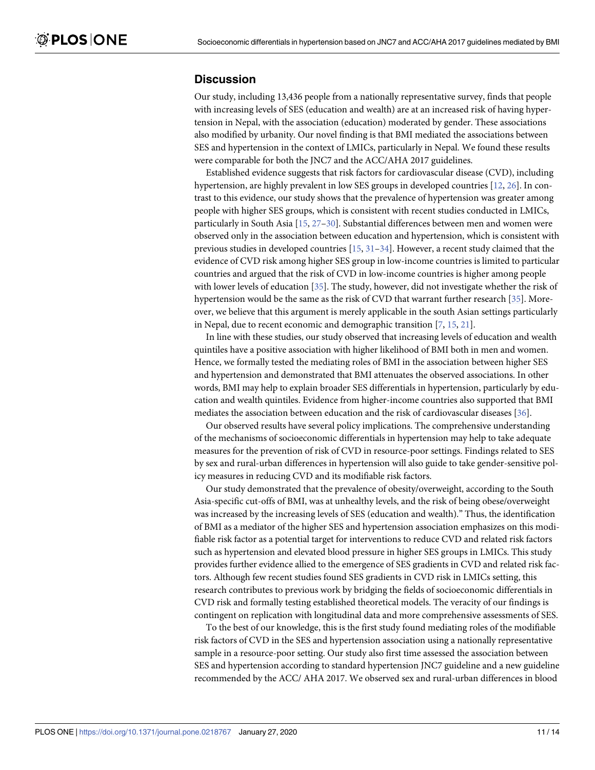#### **Discussion**

Our study, including 13,436 people from a nationally representative survey, finds that people with increasing levels of SES (education and wealth) are at an increased risk of having hypertension in Nepal, with the association (education) moderated by gender. These associations also modified by urbanity. Our novel finding is that BMI mediated the associations between SES and hypertension in the context of LMICs, particularly in Nepal. We found these results were comparable for both the JNC7 and the ACC/AHA 2017 guidelines.

Established evidence suggests that risk factors for cardiovascular disease (CVD), including hypertension, are highly prevalent in low SES groups in developed countries [12, 26]. In contrast to this evidence, our study shows that the prevalence of hypertension was greater among people with higher SES groups, which is consistent with recent studies conducted in LMICs, particularly in South Asia [15, 27–30]. Substantial differences between men and women were observed only in the association between education and hypertension, which is consistent with previous studies in developed countries  $[15, 31-34]$ . However, a recent study claimed that the evidence of CVD risk among higher SES group in low-income countries is limited to particular countries and argued that the risk of CVD in low-income countries is higher among people with lower levels of education [35]. The study, however, did not investigate whether the risk of hypertension would be the same as the risk of CVD that warrant further research [35]. Moreover, we believe that this argument is merely applicable in the south Asian settings particularly in Nepal, due to recent economic and demographic transition [7, 15, 21].

In line with these studies, our study observed that increasing levels of education and wealth quintiles have a positive association with higher likelihood of BMI both in men and women. Hence, we formally tested the mediating roles of BMI in the association between higher SES and hypertension and demonstrated that BMI attenuates the observed associations. In other words, BMI may help to explain broader SES differentials in hypertension, particularly by education and wealth quintiles. Evidence from higher-income countries also supported that BMI mediates the association between education and the risk of cardiovascular diseases [36].

Our observed results have several policy implications. The comprehensive understanding of the mechanisms of socioeconomic differentials in hypertension may help to take adequate measures for the prevention of risk of CVD in resource-poor settings. Findings related to SES by sex and rural-urban differences in hypertension will also guide to take gender-sensitive policy measures in reducing CVD and its modifiable risk factors.

Our study demonstrated that the prevalence of obesity/overweight, according to the South Asia-specific cut-offs of BMI, was at unhealthy levels, and the risk of being obese/overweight was increased by the increasing levels of SES (education and wealth)." Thus, the identification of BMI as a mediator of the higher SES and hypertension association emphasizes on this modifiable risk factor as a potential target for interventions to reduce CVD and related risk factors such as hypertension and elevated blood pressure in higher SES groups in LMICs. This study provides further evidence allied to the emergence of SES gradients in CVD and related risk factors. Although few recent studies found SES gradients in CVD risk in LMICs setting, this research contributes to previous work by bridging the fields of socioeconomic differentials in CVD risk and formally testing established theoretical models. The veracity of our findings is contingent on replication with longitudinal data and more comprehensive assessments of SES.

To the best of our knowledge, this is the first study found mediating roles of the modifiable risk factors of CVD in the SES and hypertension association using a nationally representative sample in a resource-poor setting. Our study also first time assessed the association between SES and hypertension according to standard hypertension JNC7 guideline and a new guideline recommended by the ACC/ AHA 2017. We observed sex and rural-urban differences in blood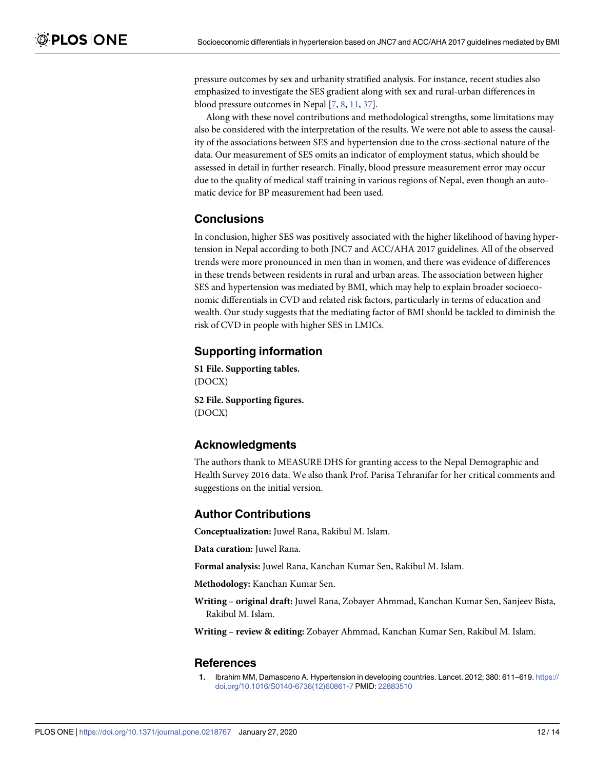pressure outcomes by sex and urbanity stratified analysis. For instance, recent studies also emphasized to investigate the SES gradient along with sex and rural-urban differences in blood pressure outcomes in Nepal [7, 8, 11, 37].

Along with these novel contributions and methodological strengths, some limitations may also be considered with the interpretation of the results. We were not able to assess the causality of the associations between SES and hypertension due to the cross-sectional nature of the data. Our measurement of SES omits an indicator of employment status, which should be assessed in detail in further research. Finally, blood pressure measurement error may occur due to the quality of medical staff training in various regions of Nepal, even though an automatic device for BP measurement had been used.

# **Conclusions**

In conclusion, higher SES was positively associated with the higher likelihood of having hypertension in Nepal according to both JNC7 and ACC/AHA 2017 guidelines. All of the observed trends were more pronounced in men than in women, and there was evidence of differences in these trends between residents in rural and urban areas. The association between higher SES and hypertension was mediated by BMI, which may help to explain broader socioeconomic differentials in CVD and related risk factors, particularly in terms of education and wealth. Our study suggests that the mediating factor of BMI should be tackled to diminish the risk of CVD in people with higher SES in LMICs.

## **Supporting information**

**S1 [File.](http://www.plosone.org/article/fetchSingleRepresentation.action?uri=info:doi/10.1371/journal.pone.0218767.s001) Supporting tables.** (DOCX)

**S2 [File.](http://www.plosone.org/article/fetchSingleRepresentation.action?uri=info:doi/10.1371/journal.pone.0218767.s002) Supporting figures.** (DOCX)

## **Acknowledgments**

The authors thank to MEASURE DHS for granting access to the Nepal Demographic and Health Survey 2016 data. We also thank Prof. Parisa Tehranifar for her critical comments and suggestions on the initial version.

#### **Author Contributions**

**Conceptualization:** Juwel Rana, Rakibul M. Islam.

**Data curation:** Juwel Rana.

**Formal analysis:** Juwel Rana, Kanchan Kumar Sen, Rakibul M. Islam.

**Methodology:** Kanchan Kumar Sen.

**Writing – original draft:** Juwel Rana, Zobayer Ahmmad, Kanchan Kumar Sen, Sanjeev Bista, Rakibul M. Islam.

**Writing – review & editing:** Zobayer Ahmmad, Kanchan Kumar Sen, Rakibul M. Islam.

#### **References**

**1.** Ibrahim MM, Damasceno A. Hypertension in developing countries. Lancet. 2012; 380: 611–619. [https://](https://doi.org/10.1016/S0140-6736(12)60861-7) [doi.org/10.1016/S0140-6736\(12\)60861-7](https://doi.org/10.1016/S0140-6736(12)60861-7) PMID: [22883510](http://www.ncbi.nlm.nih.gov/pubmed/22883510)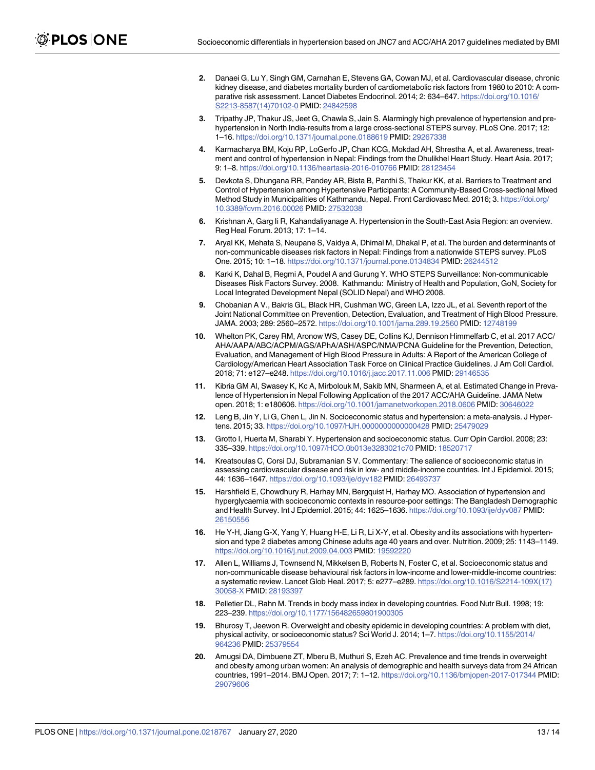- **2.** Danaei G, Lu Y, Singh GM, Carnahan E, Stevens GA, Cowan MJ, et al. Cardiovascular disease, chronic kidney disease, and diabetes mortality burden of cardiometabolic risk factors from 1980 to 2010: A comparative risk assessment. Lancet Diabetes Endocrinol. 2014; 2: 634–647. [https://doi.org/10.1016/](https://doi.org/10.1016/S2213-8587(14)70102-0) [S2213-8587\(14\)70102-0](https://doi.org/10.1016/S2213-8587(14)70102-0) PMID: [24842598](http://www.ncbi.nlm.nih.gov/pubmed/24842598)
- **3.** Tripathy JP, Thakur JS, Jeet G, Chawla S, Jain S. Alarmingly high prevalence of hypertension and prehypertension in North India-results from a large cross-sectional STEPS survey. PLoS One. 2017; 12: 1–16. <https://doi.org/10.1371/journal.pone.0188619> PMID: [29267338](http://www.ncbi.nlm.nih.gov/pubmed/29267338)
- **4.** Karmacharya BM, Koju RP, LoGerfo JP, Chan KCG, Mokdad AH, Shrestha A, et al. Awareness, treatment and control of hypertension in Nepal: Findings from the Dhulikhel Heart Study. Heart Asia. 2017; 9: 1–8. <https://doi.org/10.1136/heartasia-2016-010766> PMID: [28123454](http://www.ncbi.nlm.nih.gov/pubmed/28123454)
- **5.** Devkota S, Dhungana RR, Pandey AR, Bista B, Panthi S, Thakur KK, et al. Barriers to Treatment and Control of Hypertension among Hypertensive Participants: A Community-Based Cross-sectional Mixed Method Study in Municipalities of Kathmandu, Nepal. Front Cardiovasc Med. 2016; 3. [https://doi.org/](https://doi.org/10.3389/fcvm.2016.00026) [10.3389/fcvm.2016.00026](https://doi.org/10.3389/fcvm.2016.00026) PMID: [27532038](http://www.ncbi.nlm.nih.gov/pubmed/27532038)
- **6.** Krishnan A, Garg Ii R, Kahandaliyanage A. Hypertension in the South-East Asia Region: an overview. Reg Heal Forum. 2013; 17: 1–14.
- **7.** Aryal KK, Mehata S, Neupane S, Vaidya A, Dhimal M, Dhakal P, et al. The burden and determinants of non-communicable diseases risk factors in Nepal: Findings from a nationwide STEPS survey. PLoS One. 2015; 10: 1–18. <https://doi.org/10.1371/journal.pone.0134834> PMID: [26244512](http://www.ncbi.nlm.nih.gov/pubmed/26244512)
- **8.** Karki K, Dahal B, Regmi A, Poudel A and Gurung Y. WHO STEPS Surveillance: Non-communicable Diseases Risk Factors Survey. 2008. Kathmandu: Ministry of Health and Population, GoN, Society for Local Integrated Development Nepal (SOLID Nepal) and WHO 2008.
- **9.** Chobanian A V., Bakris GL, Black HR, Cushman WC, Green LA, Izzo JL, et al. Seventh report of the Joint National Committee on Prevention, Detection, Evaluation, and Treatment of High Blood Pressure. JAMA. 2003; 289: 2560–2572. <https://doi.org/10.1001/jama.289.19.2560> PMID: [12748199](http://www.ncbi.nlm.nih.gov/pubmed/12748199)
- **10.** Whelton PK, Carey RM, Aronow WS, Casey DE, Collins KJ, Dennison Himmelfarb C, et al. 2017 ACC/ AHA/AAPA/ABC/ACPM/AGS/APhA/ASH/ASPC/NMA/PCNA Guideline for the Prevention, Detection, Evaluation, and Management of High Blood Pressure in Adults: A Report of the American College of Cardiology/American Heart Association Task Force on Clinical Practice Guidelines. J Am Coll Cardiol. 2018; 71: e127–e248. <https://doi.org/10.1016/j.jacc.2017.11.006> PMID: [29146535](http://www.ncbi.nlm.nih.gov/pubmed/29146535)
- **11.** Kibria GM Al, Swasey K, Kc A, Mirbolouk M, Sakib MN, Sharmeen A, et al. Estimated Change in Prevalence of Hypertension in Nepal Following Application of the 2017 ACC/AHA Guideline. JAMA Netw open. 2018; 1: e180606. <https://doi.org/10.1001/jamanetworkopen.2018.0606> PMID: [30646022](http://www.ncbi.nlm.nih.gov/pubmed/30646022)
- **12.** Leng B, Jin Y, Li G, Chen L, Jin N. Socioeconomic status and hypertension: a meta-analysis. J Hypertens. 2015; 33. <https://doi.org/10.1097/HJH.0000000000000428> PMID: [25479029](http://www.ncbi.nlm.nih.gov/pubmed/25479029)
- **13.** Grotto I, Huerta M, Sharabi Y. Hypertension and socioeconomic status. Curr Opin Cardiol. 2008; 23: 335–339. <https://doi.org/10.1097/HCO.0b013e3283021c70> PMID: [18520717](http://www.ncbi.nlm.nih.gov/pubmed/18520717)
- **14.** Kreatsoulas C, Corsi DJ, Subramanian S V. Commentary: The salience of socioeconomic status in assessing cardiovascular disease and risk in low- and middle-income countries. Int J Epidemiol. 2015; 44: 1636–1647. <https://doi.org/10.1093/ije/dyv182> PMID: [26493737](http://www.ncbi.nlm.nih.gov/pubmed/26493737)
- **15.** Harshfield E, Chowdhury R, Harhay MN, Bergquist H, Harhay MO. Association of hypertension and hyperglycaemia with socioeconomic contexts in resource-poor settings: The Bangladesh Demographic and Health Survey. Int J Epidemiol. 2015; 44: 1625–1636. <https://doi.org/10.1093/ije/dyv087> PMID: [26150556](http://www.ncbi.nlm.nih.gov/pubmed/26150556)
- **16.** He Y-H, Jiang G-X, Yang Y, Huang H-E, Li R, Li X-Y, et al. Obesity and its associations with hypertension and type 2 diabetes among Chinese adults age 40 years and over. Nutrition. 2009; 25: 1143–1149. <https://doi.org/10.1016/j.nut.2009.04.003> PMID: [19592220](http://www.ncbi.nlm.nih.gov/pubmed/19592220)
- **17.** Allen L, Williams J, Townsend N, Mikkelsen B, Roberts N, Foster C, et al. Socioeconomic status and non-communicable disease behavioural risk factors in low-income and lower-middle-income countries: a systematic review. Lancet Glob Heal. 2017; 5: e277–e289. [https://doi.org/10.1016/S2214-109X\(17\)](https://doi.org/10.1016/S2214-109X(17)30058-X) [30058-X](https://doi.org/10.1016/S2214-109X(17)30058-X) PMID: [28193397](http://www.ncbi.nlm.nih.gov/pubmed/28193397)
- **18.** Pelletier DL, Rahn M. Trends in body mass index in developing countries. Food Nutr Bull. 1998; 19: 223–239. <https://doi.org/10.1177/156482659801900305>
- **19.** Bhurosy T, Jeewon R. Overweight and obesity epidemic in developing countries: A problem with diet, physical activity, or socioeconomic status? Sci World J. 2014; 1–7. [https://doi.org/10.1155/2014/](https://doi.org/10.1155/2014/964236) [964236](https://doi.org/10.1155/2014/964236) PMID: [25379554](http://www.ncbi.nlm.nih.gov/pubmed/25379554)
- **20.** Amugsi DA, Dimbuene ZT, Mberu B, Muthuri S, Ezeh AC. Prevalence and time trends in overweight and obesity among urban women: An analysis of demographic and health surveys data from 24 African countries, 1991–2014. BMJ Open. 2017; 7: 1–12. <https://doi.org/10.1136/bmjopen-2017-017344> PMID: [29079606](http://www.ncbi.nlm.nih.gov/pubmed/29079606)